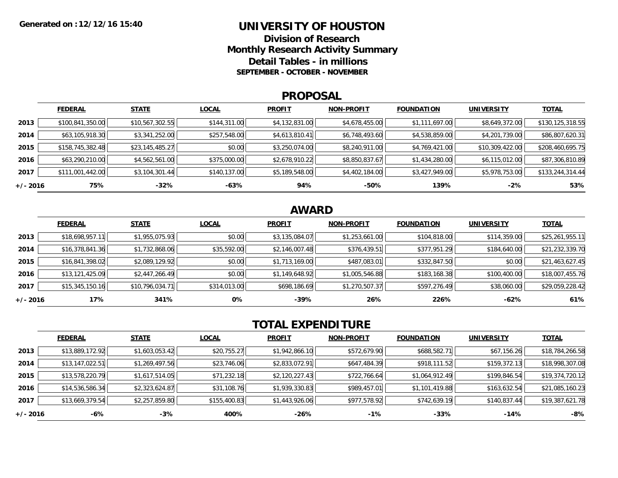### **UNIVERSITY OF HOUSTON**

**Division of ResearchMonthly Research Activity Summary Detail Tables - in millions SEPTEMBER - OCTOBER - NOVEMBER**

#### **PROPOSAL**

|            | <b>FEDERAL</b>   | <b>STATE</b>    | <b>LOCAL</b> | <b>PROFIT</b>  | <b>NON-PROFIT</b> | <b>FOUNDATION</b> | <b>UNIVERSITY</b> | <b>TOTAL</b>     |
|------------|------------------|-----------------|--------------|----------------|-------------------|-------------------|-------------------|------------------|
| 2013       | \$100,841,350.00 | \$10,567,302.55 | \$144,311.00 | \$4,132,831.00 | \$4,678,455.00    | \$1,111,697.00    | \$8,649,372.00    | \$130,125,318.55 |
| 2014       | \$63,105,918.30  | \$3,341,252.00  | \$257,548.00 | \$4,613,810.41 | \$6,748,493.60    | \$4,538,859.00    | \$4,201,739.00    | \$86,807,620.31  |
| 2015       | \$158,745,382.48 | \$23,145,485.27 | \$0.00       | \$3,250,074.00 | \$8,240,911.00    | \$4,769,421.00    | \$10,309,422.00   | \$208,460,695.75 |
| 2016       | \$63,290,210.00  | \$4,562,561.00  | \$375,000.00 | \$2,678,910.22 | \$8,850,837.67    | \$1,434,280.00    | \$6,115,012.00    | \$87,306,810.89  |
| 2017       | \$111,001,442.00 | \$3,104,301.44  | \$140,137.00 | \$5,189,548.00 | \$4,402,184.00    | \$3,427,949.00    | \$5,978,753.00    | \$133,244,314.44 |
| $+/- 2016$ | 75%              | -32%            | -63%         | 94%            | -50%              | 139%              | $-2\%$            | 53%              |

## **AWARD**

|          | <b>FEDERAL</b>  | <b>STATE</b>    | <b>LOCAL</b> | <b>PROFIT</b>  | <b>NON-PROFIT</b> | <b>FOUNDATION</b> | <b>UNIVERSITY</b> | <b>TOTAL</b>    |
|----------|-----------------|-----------------|--------------|----------------|-------------------|-------------------|-------------------|-----------------|
| 2013     | \$18,698,957.11 | \$1,955,075.93  | \$0.00       | \$3,135,084.07 | \$1,253,661.00    | \$104,818.00      | \$114,359.00      | \$25,261,955.11 |
| 2014     | \$16,378,841.36 | \$1,732,868.06  | \$35,592.00  | \$2,146,007.48 | \$376,439.51      | \$377,951.29      | \$184,640.00      | \$21,232,339.70 |
| 2015     | \$16,841,398.02 | \$2,089,129.92  | \$0.00       | \$1,713,169.00 | \$487,083.01      | \$332,847.50      | \$0.00            | \$21,463,627.45 |
| 2016     | \$13,121,425.09 | \$2,447,266.49  | \$0.00       | \$1,149,648.92 | \$1,005,546.88    | \$183,168.38      | \$100,400.00      | \$18,007,455.76 |
| 2017     | \$15,345,150.16 | \$10,796,034.71 | \$314,013.00 | \$698,186.69   | \$1,270,507.37    | \$597,276.49      | \$38,060.00       | \$29,059,228.42 |
| +/- 2016 | 17%             | 341%            | 0%           | $-39%$         | 26%               | 226%              | $-62%$            | 61%             |

# **TOTAL EXPENDITURE**

|          | <b>FEDERAL</b>  | <b>STATE</b>   | <b>LOCAL</b> | <b>PROFIT</b>  | <b>NON-PROFIT</b> | <b>FOUNDATION</b> | <b>UNIVERSITY</b> | <b>TOTAL</b>    |
|----------|-----------------|----------------|--------------|----------------|-------------------|-------------------|-------------------|-----------------|
| 2013     | \$13,889,172.92 | \$1,603,053.42 | \$20,755.27  | \$1,942,866.10 | \$572,679.90      | \$688,582.71      | \$67,156.26       | \$18,784,266.58 |
| 2014     | \$13,147,022.51 | \$1,269,497.56 | \$23,746.06  | \$2,833,072.91 | \$647,484.39      | \$918,111.52      | \$159,372.13      | \$18,998,307.08 |
| 2015     | \$13,578,220.79 | \$1,617,514.05 | \$71,232.18  | \$2,120,227.43 | \$722,766.64      | \$1,064,912.49    | \$199,846.54      | \$19,374,720.12 |
| 2016     | \$14,536,586.34 | \$2,323,624.87 | \$31,108.76  | \$1,939,330.83 | \$989,457.01      | \$1,101,419.88    | \$163,632.54      | \$21,085,160.23 |
| 2017     | \$13,669,379.54 | \$2,257,859.80 | \$155,400.83 | \$1,443,926.06 | \$977,578.92      | \$742,639.19      | \$140,837.44      | \$19,387,621.78 |
| +/- 2016 | -6%             | $-3%$          | 400%         | -26%           | $-1%$             | $-33%$            | -14%              | -8%             |